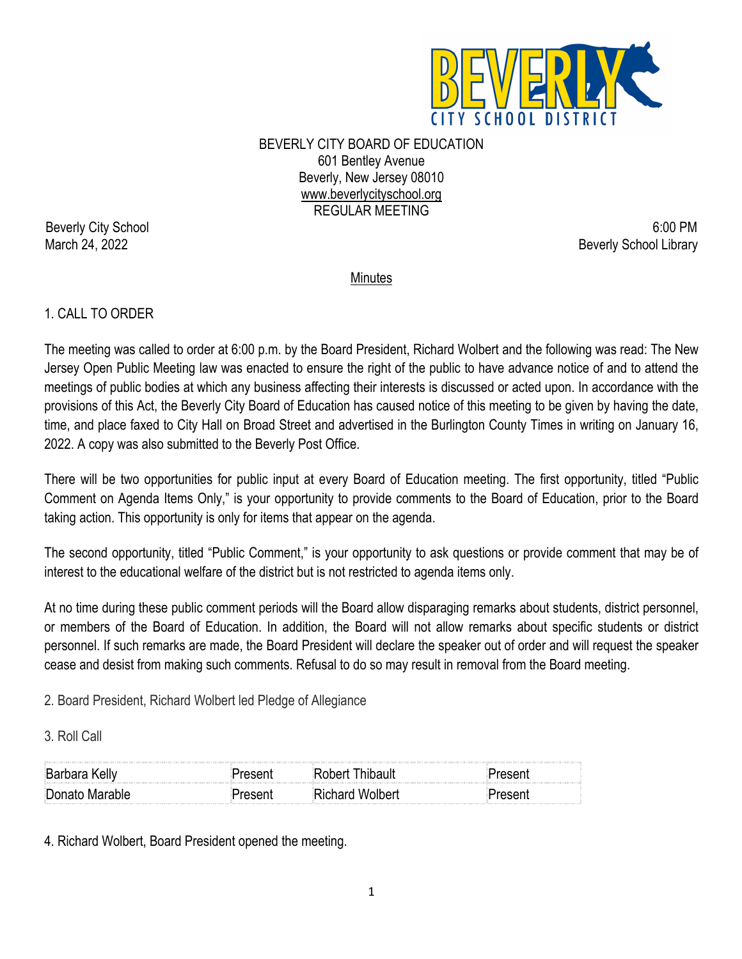

BEVERLY CITY BOARD OF EDUCATION 601 Bentley Avenue Beverly, New Jersey 08010 www.beverlycityschool.org REGULAR MEETING

Beverly City School 6:00 PM March 24, 2022 Beverly School Library

**Minutes** 

# 1. CALL TO ORDER

The meeting was called to order at 6:00 p.m. by the Board President, Richard Wolbert and the following was read: The New Jersey Open Public Meeting law was enacted to ensure the right of the public to have advance notice of and to attend the meetings of public bodies at which any business affecting their interests is discussed or acted upon. In accordance with the provisions of this Act, the Beverly City Board of Education has caused notice of this meeting to be given by having the date, time, and place faxed to City Hall on Broad Street and advertised in the Burlington County Times in writing on January 16, 2022. A copy was also submitted to the Beverly Post Office.

There will be two opportunities for public input at every Board of Education meeting. The first opportunity, titled "Public Comment on Agenda Items Only," is your opportunity to provide comments to the Board of Education, prior to the Board taking action. This opportunity is only for items that appear on the agenda.

The second opportunity, titled "Public Comment," is your opportunity to ask questions or provide comment that may be of interest to the educational welfare of the district but is not restricted to agenda items only.

At no time during these public comment periods will the Board allow disparaging remarks about students, district personnel, or members of the Board of Education. In addition, the Board will not allow remarks about specific students or district personnel. If such remarks are made, the Board President will declare the speaker out of order and will request the speaker cease and desist from making such comments. Refusal to do so may result in removal from the Board meeting.

2. Board President, Richard Wolbert led Pledge of Allegiance

3. Roll Call

| <b>Barbara Kelly</b> |                 |  |
|----------------------|-----------------|--|
| Donato Marable       | Richard Wolbert |  |

4. Richard Wolbert, Board President opened the meeting.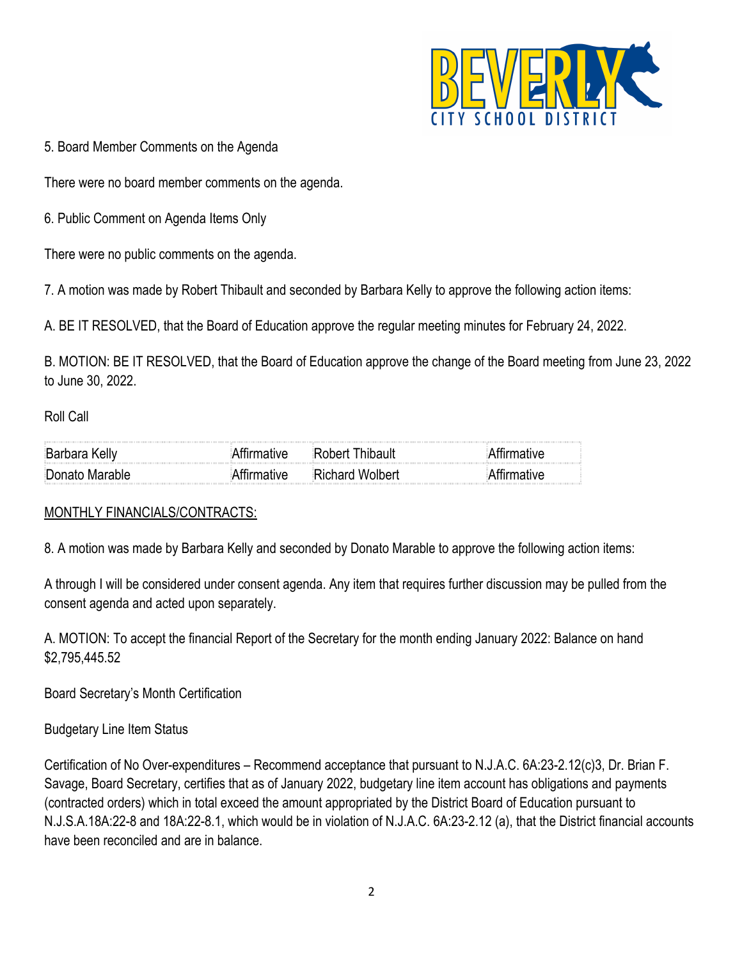

5. Board Member Comments on the Agenda

There were no board member comments on the agenda.

6. Public Comment on Agenda Items Only

There were no public comments on the agenda.

7. A motion was made by Robert Thibault and seconded by Barbara Kelly to approve the following action items:

A. BE IT RESOLVED, that the Board of Education approve the regular meeting minutes for February 24, 2022.

B. MOTION: BE IT RESOLVED, that the Board of Education approve the change of the Board meeting from June 23, 2022 to June 30, 2022.

#### Roll Call

| <b>Barbara Kelly</b> | $\sim$ . The contract of the contract of the contract of the contract of the contract of the contract of the contract of the contract of the contract of the contract of the contract of the contract of the contract of the co<br>:Rohart I |  |
|----------------------|----------------------------------------------------------------------------------------------------------------------------------------------------------------------------------------------------------------------------------------------|--|
| Donato Marable       | ੰRichard Wolbert                                                                                                                                                                                                                             |  |

# MONTHLY FINANCIALS/CONTRACTS:

8. A motion was made by Barbara Kelly and seconded by Donato Marable to approve the following action items:

A through I will be considered under consent agenda. Any item that requires further discussion may be pulled from the consent agenda and acted upon separately.

A. MOTION: To accept the financial Report of the Secretary for the month ending January 2022: Balance on hand \$2,795,445.52

Board Secretary's Month Certification

Budgetary Line Item Status

Certification of No Over-expenditures – Recommend acceptance that pursuant to N.J.A.C. 6A:23-2.12(c)3, Dr. Brian F. Savage, Board Secretary, certifies that as of January 2022, budgetary line item account has obligations and payments (contracted orders) which in total exceed the amount appropriated by the District Board of Education pursuant to N.J.S.A.18A:22-8 and 18A:22-8.1, which would be in violation of N.J.A.C. 6A:23-2.12 (a), that the District financial accounts have been reconciled and are in balance.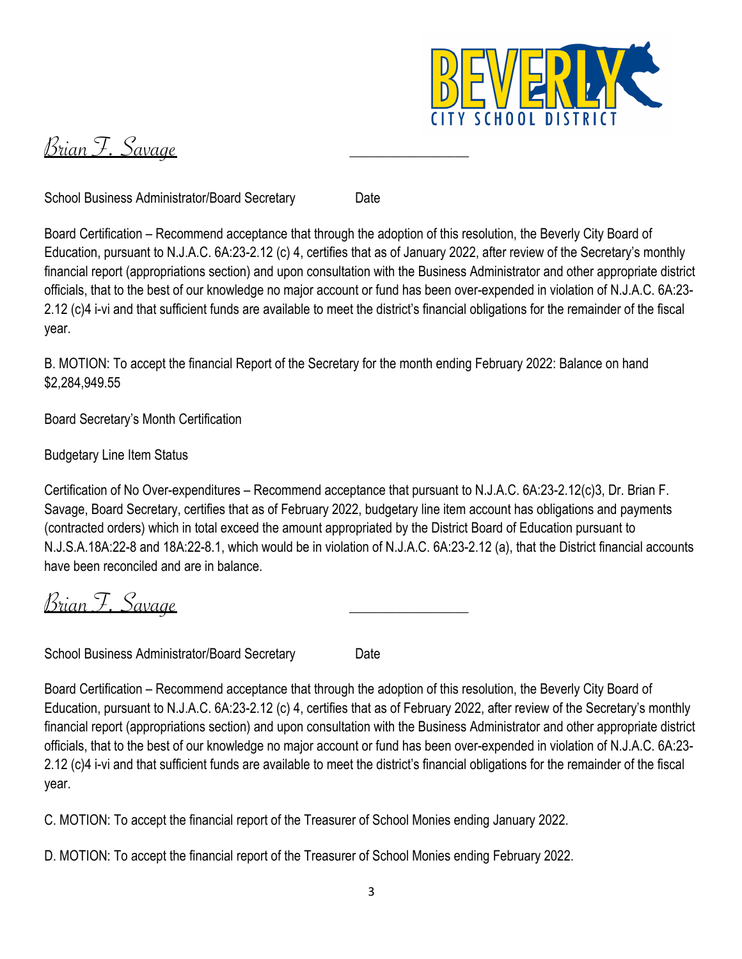

Brian F. Savage

School Business Administrator/Board Secretary Date

Board Certification – Recommend acceptance that through the adoption of this resolution, the Beverly City Board of Education, pursuant to N.J.A.C. 6A:23-2.12 (c) 4, certifies that as of January 2022, after review of the Secretary's monthly financial report (appropriations section) and upon consultation with the Business Administrator and other appropriate district officials, that to the best of our knowledge no major account or fund has been over-expended in violation of N.J.A.C. 6A:23- 2.12 (c)4 i-vi and that sufficient funds are available to meet the district's financial obligations for the remainder of the fiscal year.

B. MOTION: To accept the financial Report of the Secretary for the month ending February 2022: Balance on hand \$2,284,949.55

Board Secretary's Month Certification

Budgetary Line Item Status

Certification of No Over-expenditures – Recommend acceptance that pursuant to N.J.A.C. 6A:23-2.12(c)3, Dr. Brian F. Savage, Board Secretary, certifies that as of February 2022, budgetary line item account has obligations and payments (contracted orders) which in total exceed the amount appropriated by the District Board of Education pursuant to N.J.S.A.18A:22-8 and 18A:22-8.1, which would be in violation of N.J.A.C. 6A:23-2.12 (a), that the District financial accounts have been reconciled and are in balance.

Brian F. Savage

School Business Administrator/Board Secretary Date

Board Certification – Recommend acceptance that through the adoption of this resolution, the Beverly City Board of Education, pursuant to N.J.A.C. 6A:23-2.12 (c) 4, certifies that as of February 2022, after review of the Secretary's monthly financial report (appropriations section) and upon consultation with the Business Administrator and other appropriate district officials, that to the best of our knowledge no major account or fund has been over-expended in violation of N.J.A.C. 6A:23- 2.12 (c)4 i-vi and that sufficient funds are available to meet the district's financial obligations for the remainder of the fiscal year.

C. MOTION: To accept the financial report of the Treasurer of School Monies ending January 2022.

D. MOTION: To accept the financial report of the Treasurer of School Monies ending February 2022.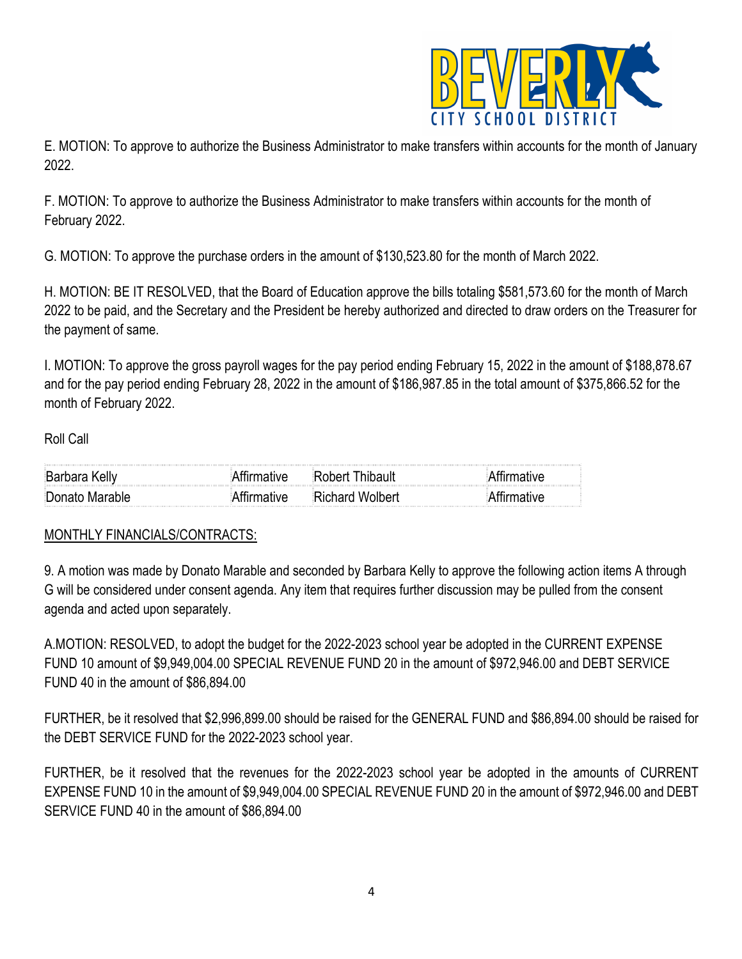

E. MOTION: To approve to authorize the Business Administrator to make transfers within accounts for the month of January 2022.

F. MOTION: To approve to authorize the Business Administrator to make transfers within accounts for the month of February 2022.

G. MOTION: To approve the purchase orders in the amount of \$130,523.80 for the month of March 2022.

H. MOTION: BE IT RESOLVED, that the Board of Education approve the bills totaling \$581,573.60 for the month of March 2022 to be paid, and the Secretary and the President be hereby authorized and directed to draw orders on the Treasurer for the payment of same.

I. MOTION: To approve the gross payroll wages for the pay period ending February 15, 2022 in the amount of \$188,878.67 and for the pay period ending February 28, 2022 in the amount of \$186,987.85 in the total amount of \$375,866.52 for the month of February 2022.

#### Roll Call

| $\sim$ 100 $\sim$ 100 $\sim$ 100 $\sim$ 100 $\sim$ 100 $\sim$ 100 $\sim$ 100 $\sim$ 100 $\sim$ 100 $\sim$ 100 $\sim$ 100 $\sim$ 100 $\sim$ 100 $\sim$ 100 $\sim$ 100 $\sim$ 100 $\sim$ 100 $\sim$ 100 $\sim$ 100 $\sim$ 100 $\sim$ 100 $\sim$ 100 $\sim$ 100 $\sim$ 100 $\sim$<br><b>Barbara Kelly</b> | i tahar                |  |
|--------------------------------------------------------------------------------------------------------------------------------------------------------------------------------------------------------------------------------------------------------------------------------------------------------|------------------------|--|
| Donato Marable                                                                                                                                                                                                                                                                                         | <b>Richard Wolbert</b> |  |

#### MONTHLY FINANCIALS/CONTRACTS:

9. A motion was made by Donato Marable and seconded by Barbara Kelly to approve the following action items A through G will be considered under consent agenda. Any item that requires further discussion may be pulled from the consent agenda and acted upon separately.

A.MOTION: RESOLVED, to adopt the budget for the 2022-2023 school year be adopted in the CURRENT EXPENSE FUND 10 amount of \$9,949,004.00 SPECIAL REVENUE FUND 20 in the amount of \$972,946.00 and DEBT SERVICE FUND 40 in the amount of \$86,894.00

FURTHER, be it resolved that \$2,996,899.00 should be raised for the GENERAL FUND and \$86,894.00 should be raised for the DEBT SERVICE FUND for the 2022-2023 school year.

FURTHER, be it resolved that the revenues for the 2022-2023 school year be adopted in the amounts of CURRENT EXPENSE FUND 10 in the amount of \$9,949,004.00 SPECIAL REVENUE FUND 20 in the amount of \$972,946.00 and DEBT SERVICE FUND 40 in the amount of \$86,894.00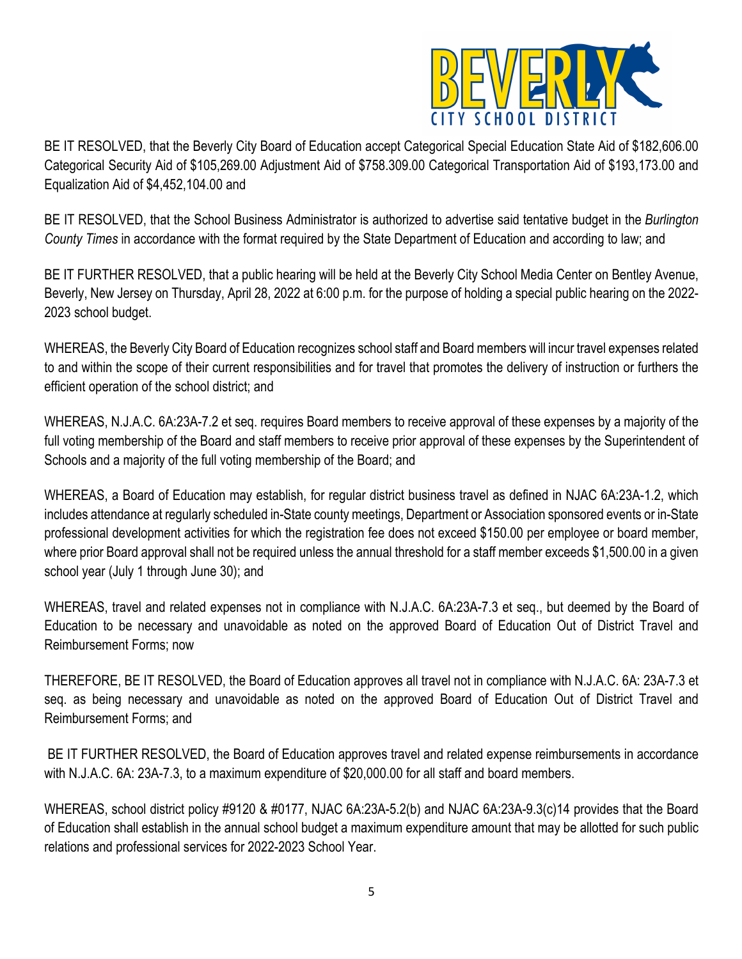

BE IT RESOLVED, that the Beverly City Board of Education accept Categorical Special Education State Aid of \$182,606.00 Categorical Security Aid of \$105,269.00 Adjustment Aid of \$758.309.00 Categorical Transportation Aid of \$193,173.00 and Equalization Aid of \$4,452,104.00 and

BE IT RESOLVED, that the School Business Administrator is authorized to advertise said tentative budget in the *Burlington County Times* in accordance with the format required by the State Department of Education and according to law; and

BE IT FURTHER RESOLVED, that a public hearing will be held at the Beverly City School Media Center on Bentley Avenue, Beverly, New Jersey on Thursday, April 28, 2022 at 6:00 p.m. for the purpose of holding a special public hearing on the 2022- 2023 school budget.

WHEREAS, the Beverly City Board of Education recognizes school staff and Board members will incur travel expenses related to and within the scope of their current responsibilities and for travel that promotes the delivery of instruction or furthers the efficient operation of the school district; and

WHEREAS, N.J.A.C. 6A:23A-7.2 et seq. requires Board members to receive approval of these expenses by a majority of the full voting membership of the Board and staff members to receive prior approval of these expenses by the Superintendent of Schools and a majority of the full voting membership of the Board; and

WHEREAS, a Board of Education may establish, for regular district business travel as defined in NJAC 6A:23A-1.2, which includes attendance at regularly scheduled in-State county meetings, Department or Association sponsored events or in-State professional development activities for which the registration fee does not exceed \$150.00 per employee or board member, where prior Board approval shall not be required unless the annual threshold for a staff member exceeds \$1,500.00 in a given school year (July 1 through June 30); and

WHEREAS, travel and related expenses not in compliance with N.J.A.C. 6A:23A-7.3 et seq., but deemed by the Board of Education to be necessary and unavoidable as noted on the approved Board of Education Out of District Travel and Reimbursement Forms; now

THEREFORE, BE IT RESOLVED, the Board of Education approves all travel not in compliance with N.J.A.C. 6A: 23A-7.3 et seq. as being necessary and unavoidable as noted on the approved Board of Education Out of District Travel and Reimbursement Forms; and

BE IT FURTHER RESOLVED, the Board of Education approves travel and related expense reimbursements in accordance with N.J.A.C. 6A: 23A-7.3, to a maximum expenditure of \$20,000.00 for all staff and board members.

WHEREAS, school district policy #9120 & #0177, NJAC 6A:23A-5.2(b) and NJAC 6A:23A-9.3(c)14 provides that the Board of Education shall establish in the annual school budget a maximum expenditure amount that may be allotted for such public relations and professional services for 2022-2023 School Year.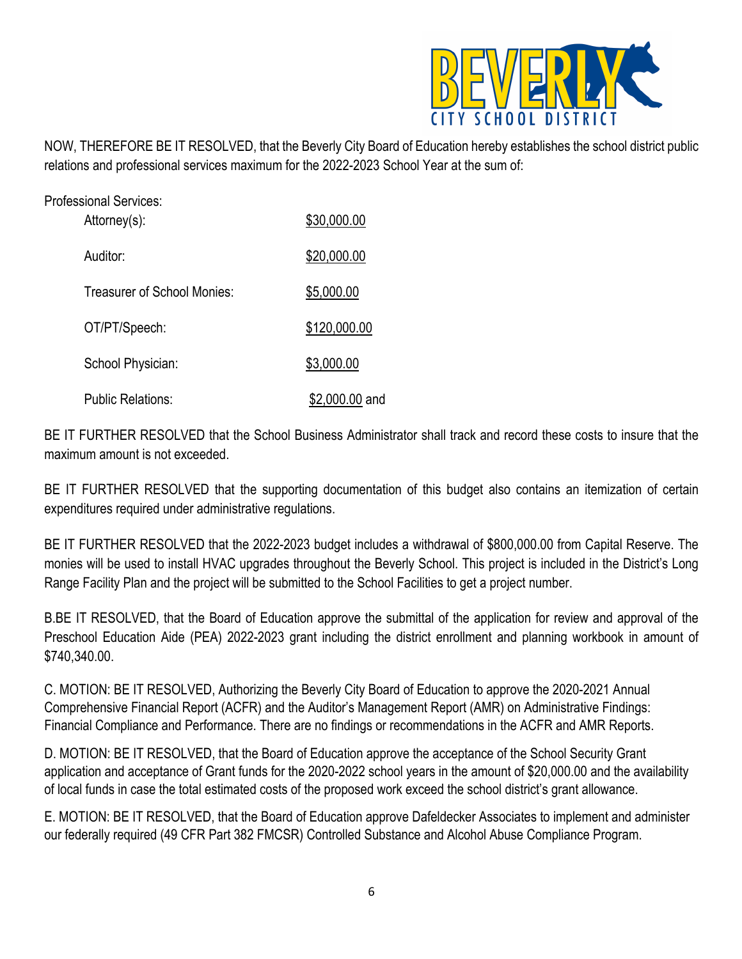

NOW, THEREFORE BE IT RESOLVED, that the Beverly City Board of Education hereby establishes the school district public relations and professional services maximum for the 2022-2023 School Year at the sum of:

| Professional Services:<br>Attorney(s): | \$30,000.00    |
|----------------------------------------|----------------|
| Auditor:                               | \$20,000.00    |
| Treasurer of School Monies:            | \$5,000.00     |
| OT/PT/Speech:                          | \$120,000.00   |
| School Physician:                      | \$3,000.00     |
| Public Relations:                      | \$2,000.00 and |

BE IT FURTHER RESOLVED that the School Business Administrator shall track and record these costs to insure that the maximum amount is not exceeded.

BE IT FURTHER RESOLVED that the supporting documentation of this budget also contains an itemization of certain expenditures required under administrative regulations.

BE IT FURTHER RESOLVED that the 2022-2023 budget includes a withdrawal of \$800,000.00 from Capital Reserve. The monies will be used to install HVAC upgrades throughout the Beverly School. This project is included in the District's Long Range Facility Plan and the project will be submitted to the School Facilities to get a project number.

B.BE IT RESOLVED, that the Board of Education approve the submittal of the application for review and approval of the Preschool Education Aide (PEA) 2022-2023 grant including the district enrollment and planning workbook in amount of \$740,340.00.

C. MOTION: BE IT RESOLVED, Authorizing the Beverly City Board of Education to approve the 2020-2021 Annual Comprehensive Financial Report (ACFR) and the Auditor's Management Report (AMR) on Administrative Findings: Financial Compliance and Performance. There are no findings or recommendations in the ACFR and AMR Reports.

D. MOTION: BE IT RESOLVED, that the Board of Education approve the acceptance of the School Security Grant application and acceptance of Grant funds for the 2020-2022 school years in the amount of \$20,000.00 and the availability of local funds in case the total estimated costs of the proposed work exceed the school district's grant allowance.

E. MOTION: BE IT RESOLVED, that the Board of Education approve Dafeldecker Associates to implement and administer our federally required (49 CFR Part 382 FMCSR) Controlled Substance and Alcohol Abuse Compliance Program.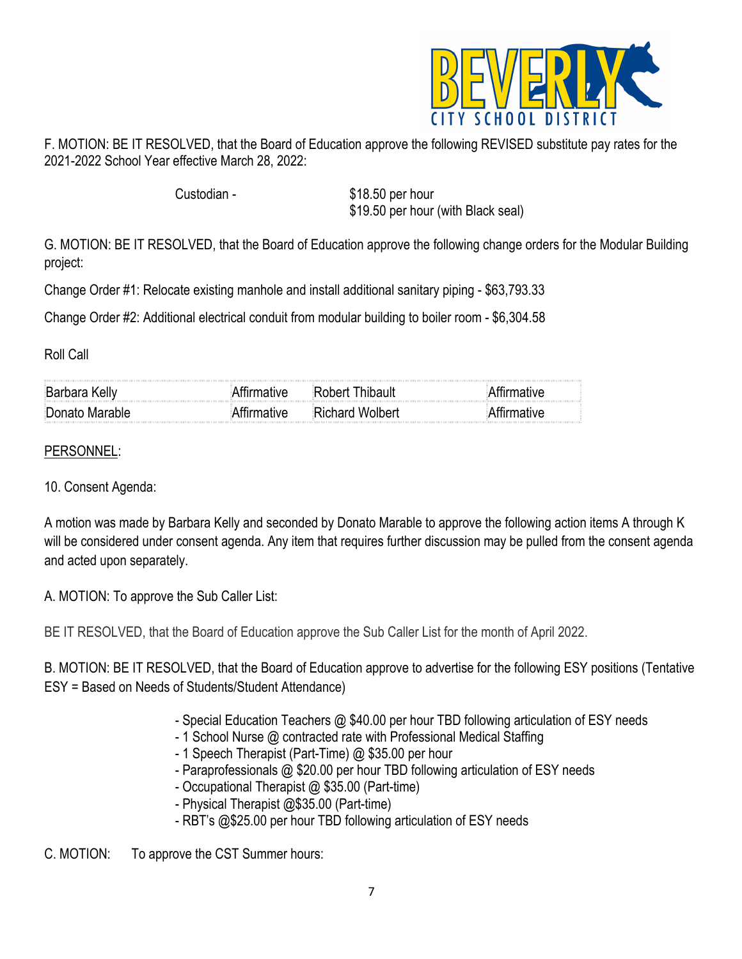

F. MOTION: BE IT RESOLVED, that the Board of Education approve the following REVISED substitute pay rates for the 2021-2022 School Year effective March 28, 2022:

Custodian - \$18.50 per hour \$19.50 per hour (with Black seal)

G. MOTION: BE IT RESOLVED, that the Board of Education approve the following change orders for the Modular Building project:

Change Order #1: Relocate existing manhole and install additional sanitary piping - \$63,793.33

Change Order #2: Additional electrical conduit from modular building to boiler room - \$6,304.58

Roll Call

| . Rar                                                                                                                                                                                                                                                         |                  |  |
|---------------------------------------------------------------------------------------------------------------------------------------------------------------------------------------------------------------------------------------------------------------|------------------|--|
| ∃Donato Marable<br>$\mathcal{L}_{\mathcal{A}}$ . The contract of the contract of the contract of the contract of the contract of the contract of the contract of the contract of the contract of the contract of the contract of the contract of the contract | રાંchard Wolbert |  |

#### PERSONNEL:

10. Consent Agenda:

A motion was made by Barbara Kelly and seconded by Donato Marable to approve the following action items A through K will be considered under consent agenda. Any item that requires further discussion may be pulled from the consent agenda and acted upon separately.

A. MOTION: To approve the Sub Caller List:

BE IT RESOLVED, that the Board of Education approve the Sub Caller List for the month of April 2022.

B. MOTION: BE IT RESOLVED, that the Board of Education approve to advertise for the following ESY positions (Tentative ESY = Based on Needs of Students/Student Attendance)

- Special Education Teachers @ \$40.00 per hour TBD following articulation of ESY needs
- 1 School Nurse @ contracted rate with Professional Medical Staffing
- 1 Speech Therapist (Part-Time) @ \$35.00 per hour
- Paraprofessionals @ \$20.00 per hour TBD following articulation of ESY needs
- Occupational Therapist @ \$35.00 (Part-time)
- Physical Therapist @\$35.00 (Part-time)
- RBT's @\$25.00 per hour TBD following articulation of ESY needs

C. MOTION: To approve the CST Summer hours: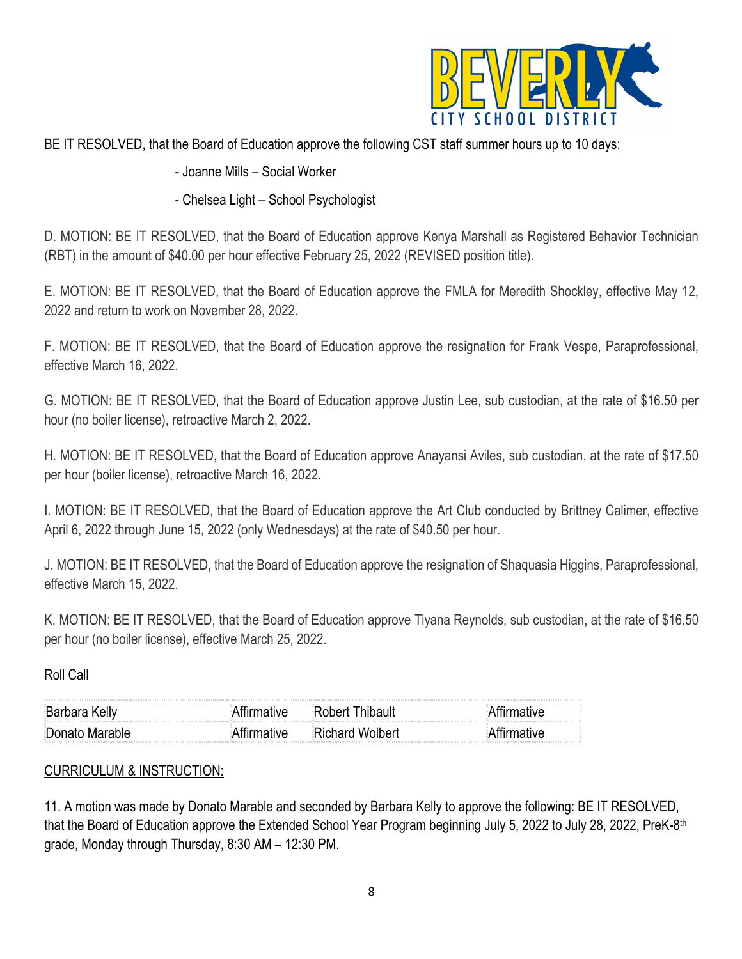

# BE IT RESOLVED, that the Board of Education approve the following CST staff summer hours up to 10 days:

## - Joanne Mills – Social Worker

## - Chelsea Light – School Psychologist

D. MOTION: BE IT RESOLVED, that the Board of Education approve Kenya Marshall as Registered Behavior Technician (RBT) in the amount of \$40.00 per hour effective February 25, 2022 (REVISED position title).

E. MOTION: BE IT RESOLVED, that the Board of Education approve the FMLA for Meredith Shockley, effective May 12, 2022 and return to work on November 28, 2022.

F. MOTION: BE IT RESOLVED, that the Board of Education approve the resignation for Frank Vespe, Paraprofessional, effective March 16, 2022.

G. MOTION: BE IT RESOLVED, that the Board of Education approve Justin Lee, sub custodian, at the rate of \$16.50 per hour (no boiler license), retroactive March 2, 2022.

H. MOTION: BE IT RESOLVED, that the Board of Education approve Anayansi Aviles, sub custodian, at the rate of \$17.50 per hour (boiler license), retroactive March 16, 2022.

I. MOTION: BE IT RESOLVED, that the Board of Education approve the Art Club conducted by Brittney Calimer, effective April 6, 2022 through June 15, 2022 (only Wednesdays) at the rate of \$40.50 per hour.

J. MOTION: BE IT RESOLVED, that the Board of Education approve the resignation of Shaquasia Higgins, Paraprofessional, effective March 15, 2022.

K. MOTION: BE IT RESOLVED, that the Board of Education approve Tiyana Reynolds, sub custodian, at the rate of \$16.50 per hour (no boiler license), effective March 25, 2022.

Roll Call

| $\mathcal{L}$ . The contract of the contract of the contract of the contract of the contract of the contract of the contract of the contract of the contract of the contract of the contract of the contract of the contract of th | the contract of the contract of the contract of the contract of the contract of the contract of the contract of |  |
|------------------------------------------------------------------------------------------------------------------------------------------------------------------------------------------------------------------------------------|-----------------------------------------------------------------------------------------------------------------|--|
| <sup>a</sup> \enato Marapie                                                                                                                                                                                                        | ייםמומW ומציי                                                                                                   |  |

#### CURRICULUM & INSTRUCTION:

11. A motion was made by Donato Marable and seconded by Barbara Kelly to approve the following: BE IT RESOLVED, that the Board of Education approve the Extended School Year Program beginning July 5, 2022 to July 28, 2022, PreK-8<sup>th</sup> grade, Monday through Thursday, 8:30 AM – 12:30 PM.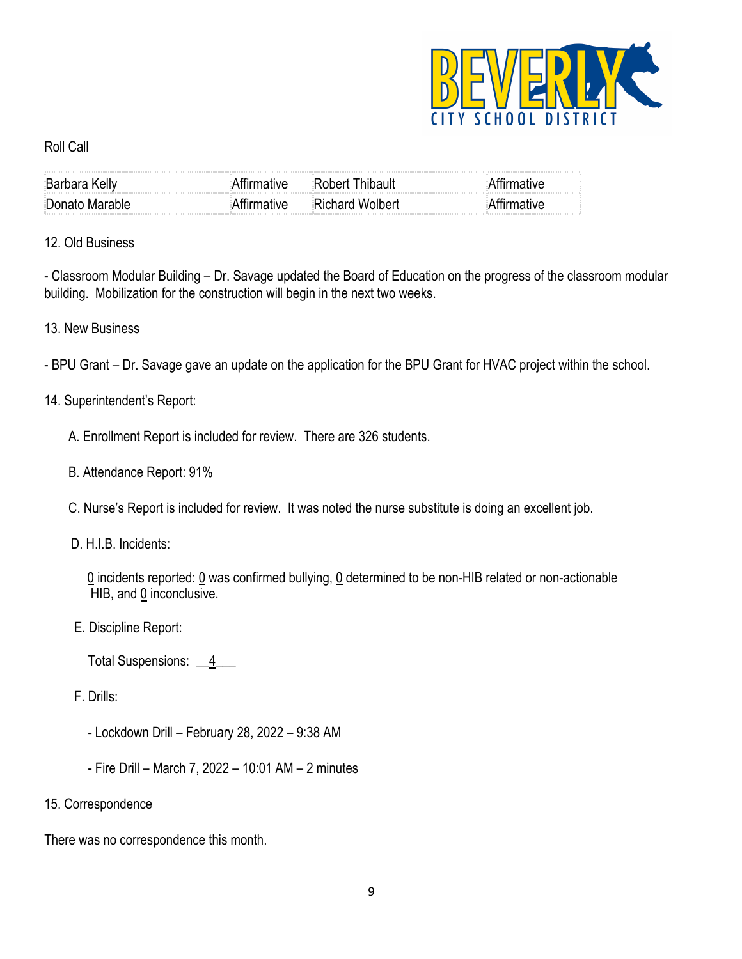

#### Roll Call

| $\mathcal{L}(\mathcal{L})$ . The contract of the contract of the contract of the contract of the contract of the contract of the contract of the contract of the contract of the contract of the contract of the contract of the contract                                      |               |  |
|--------------------------------------------------------------------------------------------------------------------------------------------------------------------------------------------------------------------------------------------------------------------------------|---------------|--|
| $\sim$ 100 $\sim$ 100 $\sim$ 100 $\sim$ 100 $\sim$ 100 $\sim$ 100 $\sim$ 100 $\sim$ 100 $\sim$ 100 $\sim$ 100 $\sim$ 100 $\sim$ 100 $\sim$ 100 $\sim$ 100 $\sim$ 100 $\sim$ 100 $\sim$ 100 $\sim$ 100 $\sim$ 100 $\sim$ 100 $\sim$ 100 $\sim$ 100 $\sim$ 100 $\sim$ 100 $\sim$ | าhard Wolhert |  |

## 12. Old Business

- Classroom Modular Building – Dr. Savage updated the Board of Education on the progress of the classroom modular building. Mobilization for the construction will begin in the next two weeks.

## 13. New Business

- BPU Grant – Dr. Savage gave an update on the application for the BPU Grant for HVAC project within the school.

## 14. Superintendent's Report:

A. Enrollment Report is included for review. There are 326 students.

- B. Attendance Report: 91%
- C. Nurse's Report is included for review. It was noted the nurse substitute is doing an excellent job.
- D. H.I.B. Incidents:

 0 incidents reported: 0 was confirmed bullying, 0 determined to be non-HIB related or non-actionable HIB, and 0 inconclusive.

E. Discipline Report:

Total Suspensions: 4

- F. Drills:
	- Lockdown Drill February 28, 2022 9:38 AM
	- Fire Drill March 7, 2022 10:01 AM 2 minutes

#### 15. Correspondence

There was no correspondence this month.